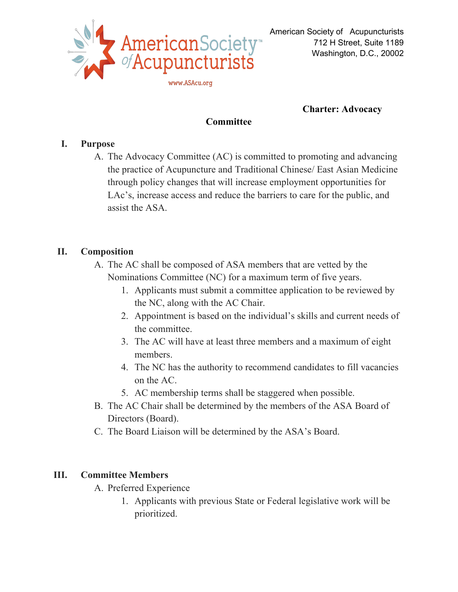

## **Charter: Advocacy**

## **Committee**

## **I. Purpose**

A. The Advocacy Committee (AC) is committed to promoting and advancing the practice of Acupuncture and Traditional Chinese/ East Asian Medicine through policy changes that will increase employment opportunities for LAc's, increase access and reduce the barriers to care for the public, and assist the ASA.

# **II. Composition**

- A. The AC shall be composed of ASA members that are vetted by the Nominations Committee (NC) for a maximum term of five years.
	- 1. Applicants must submit a committee application to be reviewed by the NC, along with the AC Chair.
	- 2. Appointment is based on the individual's skills and current needs of the committee.
	- 3. The AC will have at least three members and a maximum of eight members.
	- 4. The NC has the authority to recommend candidates to fill vacancies on the AC.
	- 5. AC membership terms shall be staggered when possible.
- B. The AC Chair shall be determined by the members of the ASA Board of Directors (Board).
- C. The Board Liaison will be determined by the ASA's Board.

## **III. Committee Members**

- A. Preferred Experience
	- 1. Applicants with previous State or Federal legislative work will be prioritized.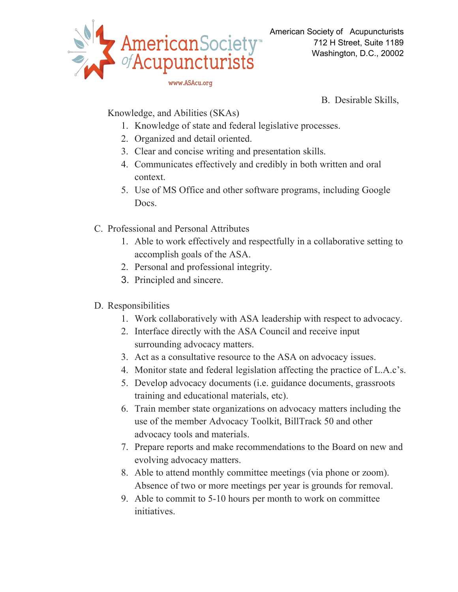

B. Desirable Skills,

Knowledge, and Abilities (SKAs)

- 1. Knowledge of state and federal legislative processes.
- 2. Organized and detail oriented.
- 3. Clear and concise writing and presentation skills.
- 4. Communicates effectively and credibly in both written and oral context.
- 5. Use of MS Office and other software programs, including Google Docs.
- C. Professional and Personal Attributes
	- 1. Able to work effectively and respectfully in a collaborative setting to accomplish goals of the ASA.
	- 2. Personal and professional integrity.
	- 3. Principled and sincere.
- D. Responsibilities
	- 1. Work collaboratively with ASA leadership with respect to advocacy.
	- 2. Interface directly with the ASA Council and receive input surrounding advocacy matters.
	- 3. Act as a consultative resource to the ASA on advocacy issues.
	- 4. Monitor state and federal legislation affecting the practice of L.A.c's.
	- 5. Develop advocacy documents (i.e. guidance documents, grassroots training and educational materials, etc).
	- 6. Train member state organizations on advocacy matters including the use of the member Advocacy Toolkit, BillTrack 50 and other advocacy tools and materials.
	- 7. Prepare reports and make recommendations to the Board on new and evolving advocacy matters.
	- 8. Able to attend monthly committee meetings (via phone or zoom). Absence of two or more meetings per year is grounds for removal.
	- 9. Able to commit to 5-10 hours per month to work on committee initiatives.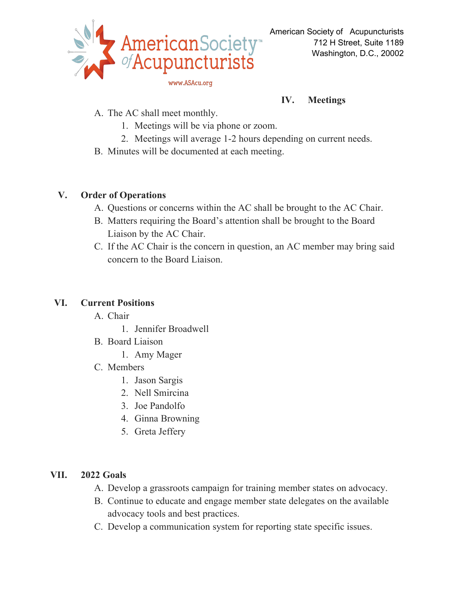

## **IV. Meetings**

- A. The AC shall meet monthly.
	- 1. Meetings will be via phone or zoom.
	- 2. Meetings will average 1-2 hours depending on current needs.
- B. Minutes will be documented at each meeting.

### **V. Order of Operations**

- A. Questions or concerns within the AC shall be brought to the AC Chair.
- B. Matters requiring the Board's attention shall be brought to the Board Liaison by the AC Chair.
- C. If the AC Chair is the concern in question, an AC member may bring said concern to the Board Liaison.

## **VI. Current Positions**

- A. Chair
	- 1. Jennifer Broadwell
- B. Board Liaison
	- 1. Amy Mager
- C. Members
	- 1. Jason Sargis
	- 2. Nell Smircina
	- 3. Joe Pandolfo
	- 4. Ginna Browning
	- 5. Greta Jeffery

## **VII. 2022 Goals**

- A. Develop a grassroots campaign for training member states on advocacy.
- B. Continue to educate and engage member state delegates on the available advocacy tools and best practices.
- C. Develop a communication system for reporting state specific issues.